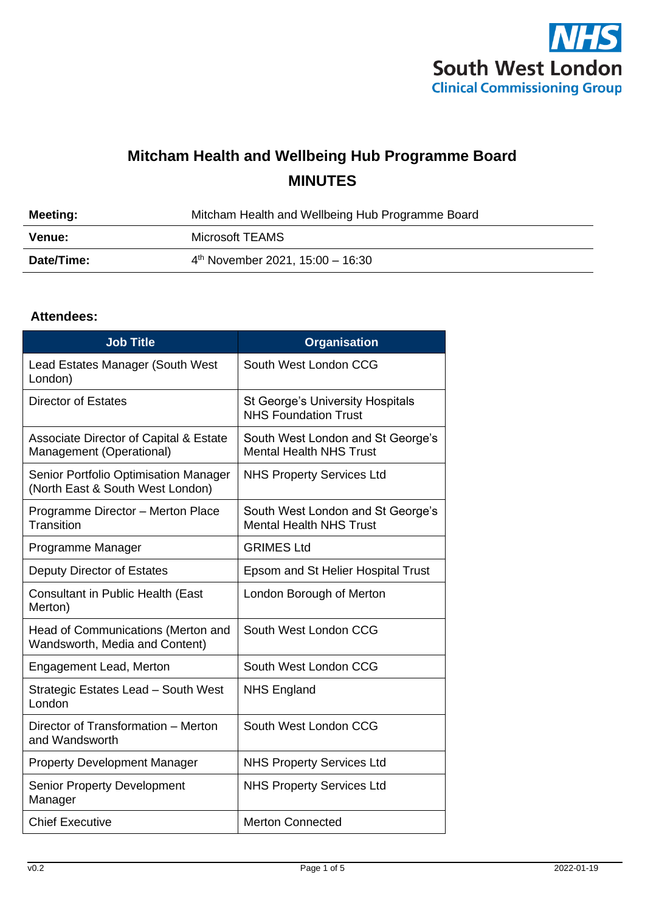

## **Mitcham Health and Wellbeing Hub Programme Board MINUTES**

| Meeting:   | Mitcham Health and Wellbeing Hub Programme Board |  |
|------------|--------------------------------------------------|--|
| Venue:     | Microsoft TEAMS                                  |  |
| Date/Time: | $4th$ November 2021, 15:00 - 16:30               |  |

## **Attendees:**

| <b>Job Title</b>                                                              | <b>Organisation</b>                                                    |
|-------------------------------------------------------------------------------|------------------------------------------------------------------------|
| Lead Estates Manager (South West<br>London)                                   | South West London CCG                                                  |
| <b>Director of Estates</b>                                                    | <b>St George's University Hospitals</b><br><b>NHS Foundation Trust</b> |
| <b>Associate Director of Capital &amp; Estate</b><br>Management (Operational) | South West London and St George's<br><b>Mental Health NHS Trust</b>    |
| Senior Portfolio Optimisation Manager<br>(North East & South West London)     | <b>NHS Property Services Ltd</b>                                       |
| Programme Director - Merton Place<br>Transition                               | South West London and St George's<br><b>Mental Health NHS Trust</b>    |
| Programme Manager                                                             | <b>GRIMES Ltd</b>                                                      |
| Deputy Director of Estates                                                    | Epsom and St Helier Hospital Trust                                     |
| <b>Consultant in Public Health (East</b><br>Merton)                           | London Borough of Merton                                               |
| Head of Communications (Merton and<br>Wandsworth, Media and Content)          | South West London CCG                                                  |
| Engagement Lead, Merton                                                       | South West London CCG                                                  |
| Strategic Estates Lead - South West<br>London                                 | <b>NHS England</b>                                                     |
| Director of Transformation - Merton<br>and Wandsworth                         | South West London CCG                                                  |
| <b>Property Development Manager</b>                                           | <b>NHS Property Services Ltd</b>                                       |
| <b>Senior Property Development</b><br>Manager                                 | <b>NHS Property Services Ltd</b>                                       |
| <b>Chief Executive</b>                                                        | <b>Merton Connected</b>                                                |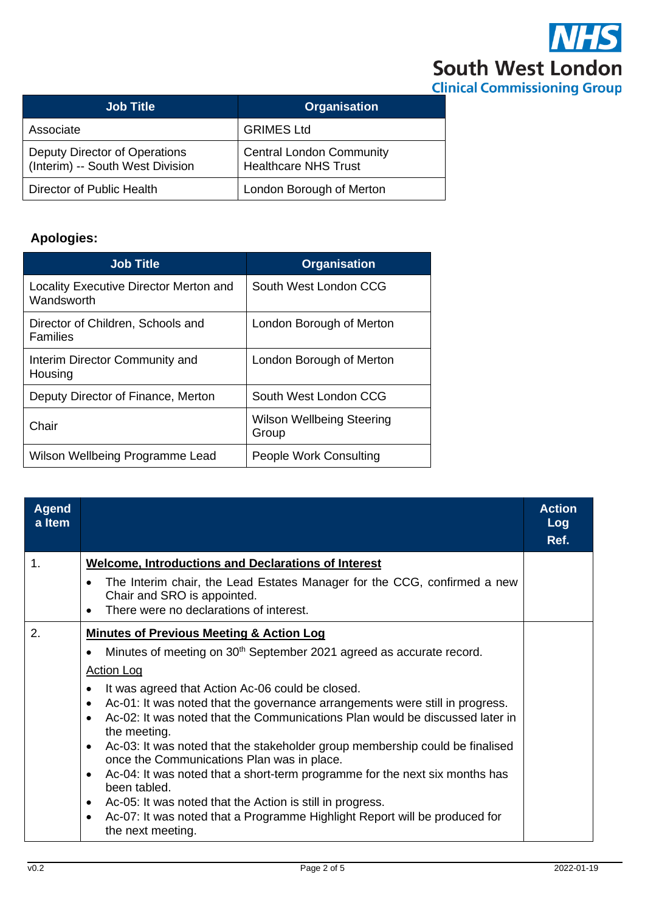

| <b>Job Title</b>                                                  | <b>Organisation</b>                                            |
|-------------------------------------------------------------------|----------------------------------------------------------------|
| Associate                                                         | <b>GRIMES Ltd</b>                                              |
| Deputy Director of Operations<br>(Interim) -- South West Division | <b>Central London Community</b><br><b>Healthcare NHS Trust</b> |
| Director of Public Health                                         | London Borough of Merton                                       |

## **Apologies:**

| <b>Job Title</b>                                     | <b>Organisation</b>                       |
|------------------------------------------------------|-------------------------------------------|
| Locality Executive Director Merton and<br>Wandsworth | South West London CCG                     |
| Director of Children, Schools and<br><b>Families</b> | London Borough of Merton                  |
| Interim Director Community and<br>Housing            | London Borough of Merton                  |
| Deputy Director of Finance, Merton                   | South West London CCG                     |
| Chair                                                | <b>Wilson Wellbeing Steering</b><br>Group |
| Wilson Wellbeing Programme Lead                      | People Work Consulting                    |

| <b>Agend</b><br>a Item |                                                                                                                                                                                                                                                                                                                                                                                                                                                                                                                                                                                                                                                                                                                                                                                                                                                                                               | <b>Action</b><br>Log<br>Ref. |
|------------------------|-----------------------------------------------------------------------------------------------------------------------------------------------------------------------------------------------------------------------------------------------------------------------------------------------------------------------------------------------------------------------------------------------------------------------------------------------------------------------------------------------------------------------------------------------------------------------------------------------------------------------------------------------------------------------------------------------------------------------------------------------------------------------------------------------------------------------------------------------------------------------------------------------|------------------------------|
| 1.                     | <b>Welcome, Introductions and Declarations of Interest</b><br>The Interim chair, the Lead Estates Manager for the CCG, confirmed a new<br>$\bullet$<br>Chair and SRO is appointed.<br>There were no declarations of interest.                                                                                                                                                                                                                                                                                                                                                                                                                                                                                                                                                                                                                                                                 |                              |
| 2.                     | <b>Minutes of Previous Meeting &amp; Action Log</b><br>Minutes of meeting on 30 <sup>th</sup> September 2021 agreed as accurate record.<br>$\bullet$<br><b>Action Log</b><br>It was agreed that Action Ac-06 could be closed.<br>$\bullet$<br>Ac-01: It was noted that the governance arrangements were still in progress.<br>$\bullet$<br>Ac-02: It was noted that the Communications Plan would be discussed later in<br>$\bullet$<br>the meeting.<br>Ac-03: It was noted that the stakeholder group membership could be finalised<br>$\bullet$<br>once the Communications Plan was in place.<br>Ac-04: It was noted that a short-term programme for the next six months has<br>$\bullet$<br>been tabled.<br>Ac-05: It was noted that the Action is still in progress.<br>٠<br>Ac-07: It was noted that a Programme Highlight Report will be produced for<br>$\bullet$<br>the next meeting. |                              |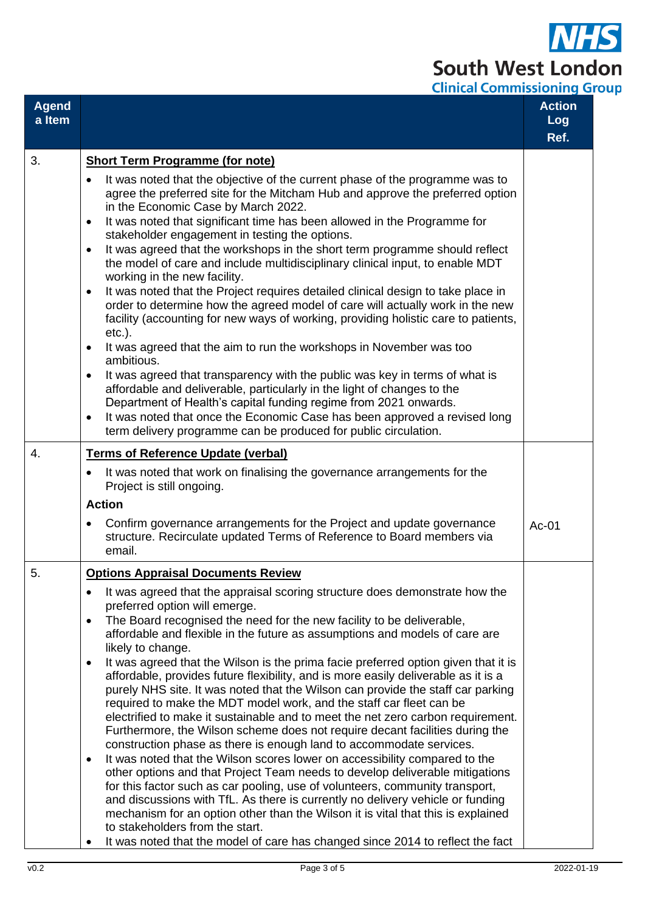$\overline{\textbf{S}}$ South West London **Clinical Commissioning Group** 

| <b>Agend</b><br>a Item |                                                                                                                                                                                                                                                                                                                                                                                                                                                                                                                                                                                                                                                                                                                                                                                                                                                                                                                                                                                                                                                                                                                                                                                                                                                                                                                                                                                                                                                        | ,,,,,,,,,,,,,,,,,,,,,<br><b>Action</b><br><b>Log</b><br>Ref. |
|------------------------|--------------------------------------------------------------------------------------------------------------------------------------------------------------------------------------------------------------------------------------------------------------------------------------------------------------------------------------------------------------------------------------------------------------------------------------------------------------------------------------------------------------------------------------------------------------------------------------------------------------------------------------------------------------------------------------------------------------------------------------------------------------------------------------------------------------------------------------------------------------------------------------------------------------------------------------------------------------------------------------------------------------------------------------------------------------------------------------------------------------------------------------------------------------------------------------------------------------------------------------------------------------------------------------------------------------------------------------------------------------------------------------------------------------------------------------------------------|--------------------------------------------------------------|
| 3.                     | <b>Short Term Programme (for note)</b>                                                                                                                                                                                                                                                                                                                                                                                                                                                                                                                                                                                                                                                                                                                                                                                                                                                                                                                                                                                                                                                                                                                                                                                                                                                                                                                                                                                                                 |                                                              |
|                        | It was noted that the objective of the current phase of the programme was to<br>$\bullet$<br>agree the preferred site for the Mitcham Hub and approve the preferred option<br>in the Economic Case by March 2022.<br>It was noted that significant time has been allowed in the Programme for<br>٠<br>stakeholder engagement in testing the options.<br>It was agreed that the workshops in the short term programme should reflect<br>$\bullet$<br>the model of care and include multidisciplinary clinical input, to enable MDT<br>working in the new facility.<br>It was noted that the Project requires detailed clinical design to take place in<br>$\bullet$<br>order to determine how the agreed model of care will actually work in the new<br>facility (accounting for new ways of working, providing holistic care to patients,<br>$etc.$ ).<br>It was agreed that the aim to run the workshops in November was too<br>$\bullet$<br>ambitious.<br>It was agreed that transparency with the public was key in terms of what is<br>٠<br>affordable and deliverable, particularly in the light of changes to the<br>Department of Health's capital funding regime from 2021 onwards.<br>It was noted that once the Economic Case has been approved a revised long<br>$\bullet$<br>term delivery programme can be produced for public circulation.                                                                                               |                                                              |
| 4.                     | <b>Terms of Reference Update (verbal)</b>                                                                                                                                                                                                                                                                                                                                                                                                                                                                                                                                                                                                                                                                                                                                                                                                                                                                                                                                                                                                                                                                                                                                                                                                                                                                                                                                                                                                              |                                                              |
|                        | It was noted that work on finalising the governance arrangements for the<br>٠<br>Project is still ongoing.                                                                                                                                                                                                                                                                                                                                                                                                                                                                                                                                                                                                                                                                                                                                                                                                                                                                                                                                                                                                                                                                                                                                                                                                                                                                                                                                             |                                                              |
|                        | <b>Action</b>                                                                                                                                                                                                                                                                                                                                                                                                                                                                                                                                                                                                                                                                                                                                                                                                                                                                                                                                                                                                                                                                                                                                                                                                                                                                                                                                                                                                                                          |                                                              |
|                        | Confirm governance arrangements for the Project and update governance<br>٠<br>structure. Recirculate updated Terms of Reference to Board members via<br>email.                                                                                                                                                                                                                                                                                                                                                                                                                                                                                                                                                                                                                                                                                                                                                                                                                                                                                                                                                                                                                                                                                                                                                                                                                                                                                         | Ac-01                                                        |
| 5.                     | <b>Options Appraisal Documents Review</b>                                                                                                                                                                                                                                                                                                                                                                                                                                                                                                                                                                                                                                                                                                                                                                                                                                                                                                                                                                                                                                                                                                                                                                                                                                                                                                                                                                                                              |                                                              |
|                        | It was agreed that the appraisal scoring structure does demonstrate how the<br>٠<br>preferred option will emerge.<br>The Board recognised the need for the new facility to be deliverable,<br>$\bullet$<br>affordable and flexible in the future as assumptions and models of care are<br>likely to change.<br>It was agreed that the Wilson is the prima facie preferred option given that it is<br>$\bullet$<br>affordable, provides future flexibility, and is more easily deliverable as it is a<br>purely NHS site. It was noted that the Wilson can provide the staff car parking<br>required to make the MDT model work, and the staff car fleet can be<br>electrified to make it sustainable and to meet the net zero carbon requirement.<br>Furthermore, the Wilson scheme does not require decant facilities during the<br>construction phase as there is enough land to accommodate services.<br>It was noted that the Wilson scores lower on accessibility compared to the<br>٠<br>other options and that Project Team needs to develop deliverable mitigations<br>for this factor such as car pooling, use of volunteers, community transport,<br>and discussions with TfL. As there is currently no delivery vehicle or funding<br>mechanism for an option other than the Wilson it is vital that this is explained<br>to stakeholders from the start.<br>It was noted that the model of care has changed since 2014 to reflect the fact |                                                              |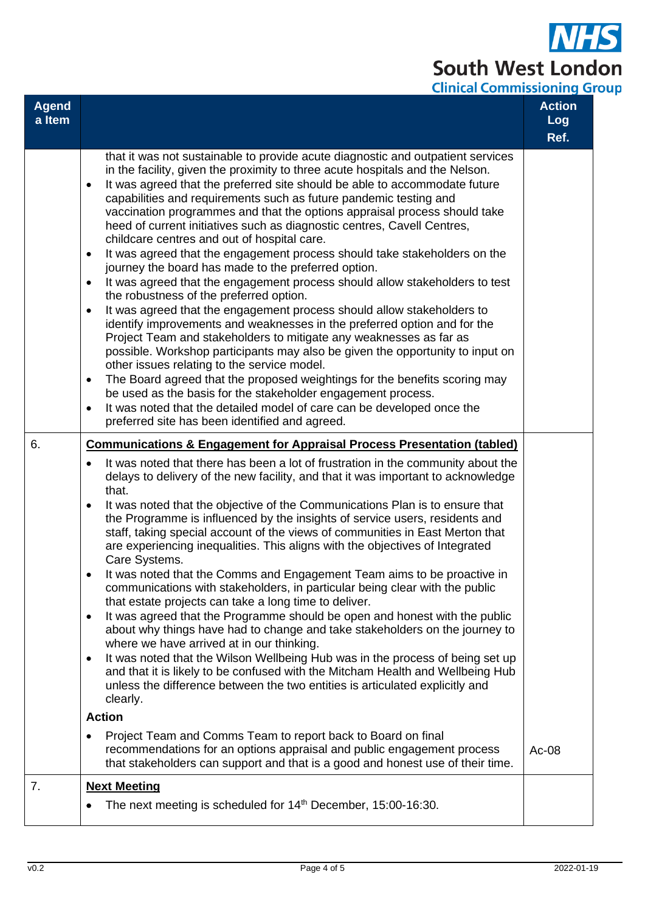## **South West London Clinical Commissioning Group**

| <b>Agend</b><br>a Item |                                                                                                                                                                                                                                                                                                                                                                                                                                                                                                                                                                                                                                                                                                                                                                                                                                                                                                                                                                                                                                                                                                                                                                                                                                                                                                                                                                                                                                                                                                                                                                                                                                | <b>Action</b><br><b>Log</b><br>Ref. |
|------------------------|--------------------------------------------------------------------------------------------------------------------------------------------------------------------------------------------------------------------------------------------------------------------------------------------------------------------------------------------------------------------------------------------------------------------------------------------------------------------------------------------------------------------------------------------------------------------------------------------------------------------------------------------------------------------------------------------------------------------------------------------------------------------------------------------------------------------------------------------------------------------------------------------------------------------------------------------------------------------------------------------------------------------------------------------------------------------------------------------------------------------------------------------------------------------------------------------------------------------------------------------------------------------------------------------------------------------------------------------------------------------------------------------------------------------------------------------------------------------------------------------------------------------------------------------------------------------------------------------------------------------------------|-------------------------------------|
|                        | that it was not sustainable to provide acute diagnostic and outpatient services<br>in the facility, given the proximity to three acute hospitals and the Nelson.<br>It was agreed that the preferred site should be able to accommodate future<br>$\bullet$<br>capabilities and requirements such as future pandemic testing and<br>vaccination programmes and that the options appraisal process should take<br>heed of current initiatives such as diagnostic centres, Cavell Centres,<br>childcare centres and out of hospital care.<br>It was agreed that the engagement process should take stakeholders on the<br>$\bullet$<br>journey the board has made to the preferred option.<br>It was agreed that the engagement process should allow stakeholders to test<br>$\bullet$<br>the robustness of the preferred option.<br>It was agreed that the engagement process should allow stakeholders to<br>$\bullet$<br>identify improvements and weaknesses in the preferred option and for the<br>Project Team and stakeholders to mitigate any weaknesses as far as<br>possible. Workshop participants may also be given the opportunity to input on<br>other issues relating to the service model.<br>The Board agreed that the proposed weightings for the benefits scoring may<br>$\bullet$<br>be used as the basis for the stakeholder engagement process.<br>It was noted that the detailed model of care can be developed once the<br>$\bullet$<br>preferred site has been identified and agreed.                                                                                                                   |                                     |
| 6.                     | <b>Communications &amp; Engagement for Appraisal Process Presentation (tabled)</b><br>It was noted that there has been a lot of frustration in the community about the<br>$\bullet$<br>delays to delivery of the new facility, and that it was important to acknowledge<br>that.<br>It was noted that the objective of the Communications Plan is to ensure that<br>$\bullet$<br>the Programme is influenced by the insights of service users, residents and<br>staff, taking special account of the views of communities in East Merton that<br>are experiencing inequalities. This aligns with the objectives of Integrated<br>Care Systems.<br>It was noted that the Comms and Engagement Team aims to be proactive in<br>communications with stakeholders, in particular being clear with the public<br>that estate projects can take a long time to deliver.<br>It was agreed that the Programme should be open and honest with the public<br>$\bullet$<br>about why things have had to change and take stakeholders on the journey to<br>where we have arrived at in our thinking.<br>It was noted that the Wilson Wellbeing Hub was in the process of being set up<br>$\bullet$<br>and that it is likely to be confused with the Mitcham Health and Wellbeing Hub<br>unless the difference between the two entities is articulated explicitly and<br>clearly.<br><b>Action</b><br>Project Team and Comms Team to report back to Board on final<br>$\bullet$<br>recommendations for an options appraisal and public engagement process<br>that stakeholders can support and that is a good and honest use of their time. | Ac-08                               |
| 7.                     | <b>Next Meeting</b>                                                                                                                                                                                                                                                                                                                                                                                                                                                                                                                                                                                                                                                                                                                                                                                                                                                                                                                                                                                                                                                                                                                                                                                                                                                                                                                                                                                                                                                                                                                                                                                                            |                                     |
|                        | The next meeting is scheduled for 14 <sup>th</sup> December, 15:00-16:30.                                                                                                                                                                                                                                                                                                                                                                                                                                                                                                                                                                                                                                                                                                                                                                                                                                                                                                                                                                                                                                                                                                                                                                                                                                                                                                                                                                                                                                                                                                                                                      |                                     |